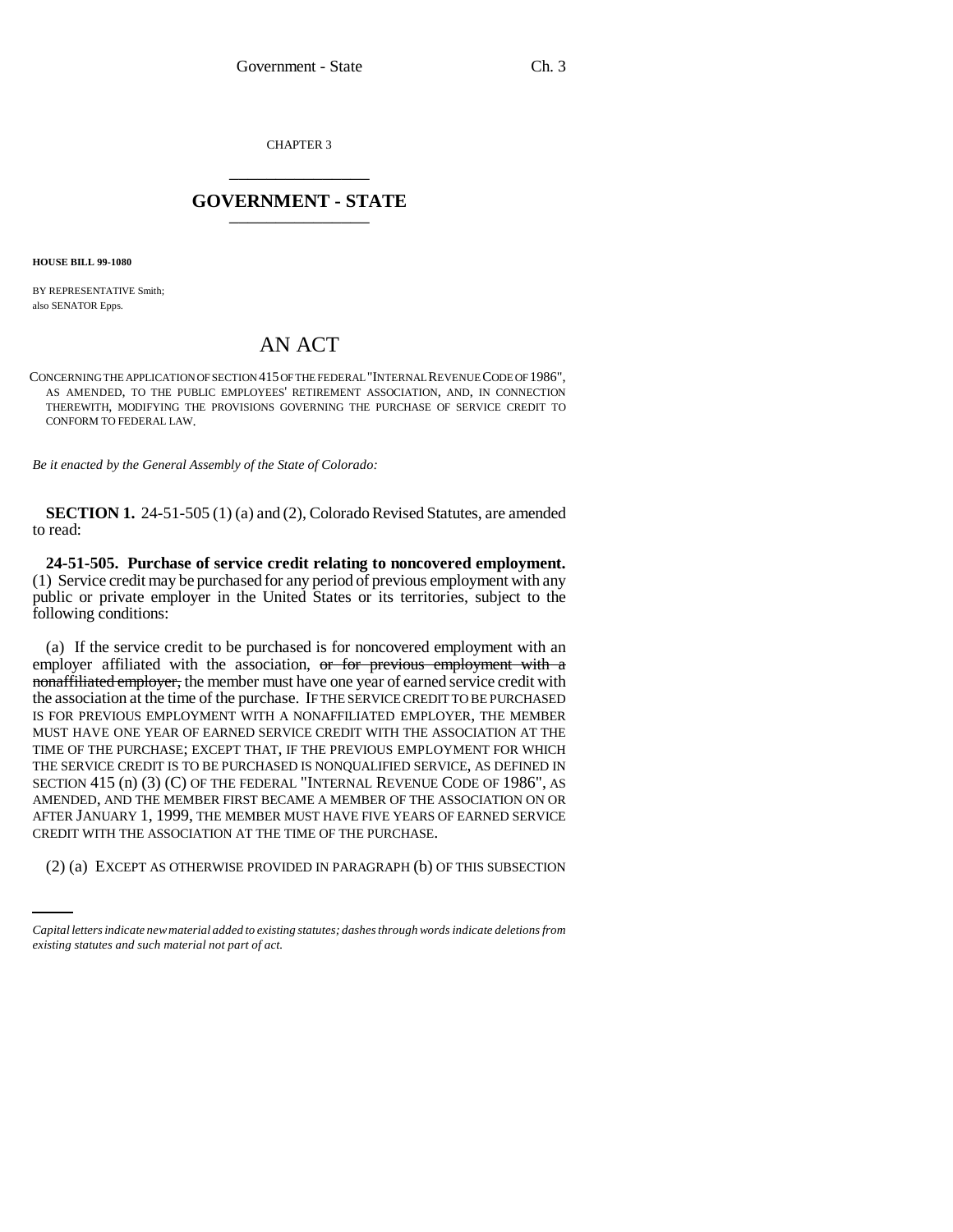CHAPTER 3 \_\_\_\_\_\_\_\_\_\_\_\_\_\_\_

## **GOVERNMENT - STATE** \_\_\_\_\_\_\_\_\_\_\_\_\_\_\_

**HOUSE BILL 99-1080** 

BY REPRESENTATIVE Smith; also SENATOR Epps.

## AN ACT

CONCERNING THE APPLICATION OF SECTION 415 OF THE FEDERAL "INTERNAL REVENUE CODE OF 1986", AS AMENDED, TO THE PUBLIC EMPLOYEES' RETIREMENT ASSOCIATION, AND, IN CONNECTION THEREWITH, MODIFYING THE PROVISIONS GOVERNING THE PURCHASE OF SERVICE CREDIT TO CONFORM TO FEDERAL LAW.

*Be it enacted by the General Assembly of the State of Colorado:*

**SECTION 1.** 24-51-505 (1) (a) and (2), Colorado Revised Statutes, are amended to read:

**24-51-505. Purchase of service credit relating to noncovered employment.** (1) Service credit may be purchased for any period of previous employment with any public or private employer in the United States or its territories, subject to the following conditions:

CREDIT WITH THE ASSOCIATION AT THE TIME OF THE PURCHASE. (a) If the service credit to be purchased is for noncovered employment with an employer affiliated with the association, or for previous employment with a nonaffiliated employer, the member must have one year of earned service credit with the association at the time of the purchase. IF THE SERVICE CREDIT TO BE PURCHASED IS FOR PREVIOUS EMPLOYMENT WITH A NONAFFILIATED EMPLOYER, THE MEMBER MUST HAVE ONE YEAR OF EARNED SERVICE CREDIT WITH THE ASSOCIATION AT THE TIME OF THE PURCHASE; EXCEPT THAT, IF THE PREVIOUS EMPLOYMENT FOR WHICH THE SERVICE CREDIT IS TO BE PURCHASED IS NONQUALIFIED SERVICE, AS DEFINED IN SECTION 415 (n) (3) (C) OF THE FEDERAL "INTERNAL REVENUE CODE OF 1986", AS AMENDED, AND THE MEMBER FIRST BECAME A MEMBER OF THE ASSOCIATION ON OR AFTER JANUARY 1, 1999, THE MEMBER MUST HAVE FIVE YEARS OF EARNED SERVICE

(2) (a) EXCEPT AS OTHERWISE PROVIDED IN PARAGRAPH (b) OF THIS SUBSECTION

*Capital letters indicate new material added to existing statutes; dashes through words indicate deletions from existing statutes and such material not part of act.*